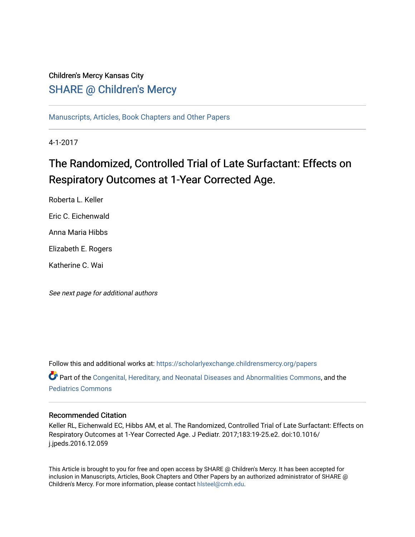### Children's Mercy Kansas City SHARE @ Children's Mercy

[Manuscripts, Articles, Book Chapters and Other Papers](https://scholarlyexchange.childrensmercy.org/papers)

4-1-2017

## The Randomized, Controlled Trial of Late Surfactant: Effects on Respiratory Outcomes at 1-Year Corrected Age.

Roberta L. Keller Eric C. Eichenwald Anna Maria Hibbs Elizabeth E. Rogers Katherine C. Wai

See next page for additional authors

Follow this and additional works at: [https://scholarlyexchange.childrensmercy.org/papers](https://scholarlyexchange.childrensmercy.org/papers?utm_source=scholarlyexchange.childrensmercy.org%2Fpapers%2F1091&utm_medium=PDF&utm_campaign=PDFCoverPages) 

Part of the [Congenital, Hereditary, and Neonatal Diseases and Abnormalities Commons,](http://network.bepress.com/hgg/discipline/971?utm_source=scholarlyexchange.childrensmercy.org%2Fpapers%2F1091&utm_medium=PDF&utm_campaign=PDFCoverPages) and the [Pediatrics Commons](http://network.bepress.com/hgg/discipline/700?utm_source=scholarlyexchange.childrensmercy.org%2Fpapers%2F1091&utm_medium=PDF&utm_campaign=PDFCoverPages)

#### Recommended Citation

Keller RL, Eichenwald EC, Hibbs AM, et al. The Randomized, Controlled Trial of Late Surfactant: Effects on Respiratory Outcomes at 1-Year Corrected Age. J Pediatr. 2017;183:19-25.e2. doi:10.1016/ j.jpeds.2016.12.059

This Article is brought to you for free and open access by SHARE @ Children's Mercy. It has been accepted for inclusion in Manuscripts, Articles, Book Chapters and Other Papers by an authorized administrator of SHARE @ Children's Mercy. For more information, please contact [hlsteel@cmh.edu](mailto:hlsteel@cmh.edu).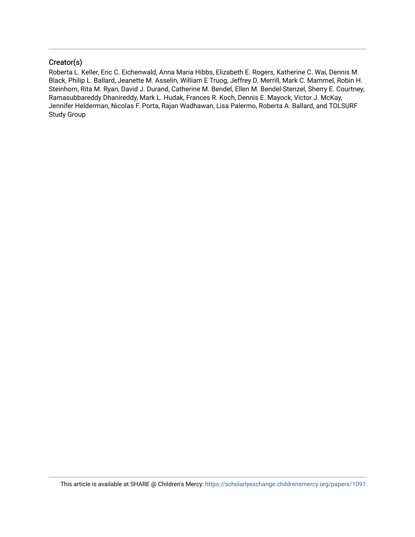#### Creator(s)

Roberta L. Keller, Eric C. Eichenwald, Anna Maria Hibbs, Elizabeth E. Rogers, Katherine C. Wai, Dennis M. Black, Philip L. Ballard, Jeanette M. Asselin, William E Truog, Jeffrey D. Merrill, Mark C. Mammel, Robin H. Steinhorn, Rita M. Ryan, David J. Durand, Catherine M. Bendel, Ellen M. Bendel-Stenzel, Sherry E. Courtney, Ramasubbareddy Dhanireddy, Mark L. Hudak, Frances R. Koch, Dennis E. Mayock, Victor J. McKay, Jennifer Helderman, Nicolas F. Porta, Rajan Wadhawan, Lisa Palermo, Roberta A. Ballard, and TOLSURF Study Group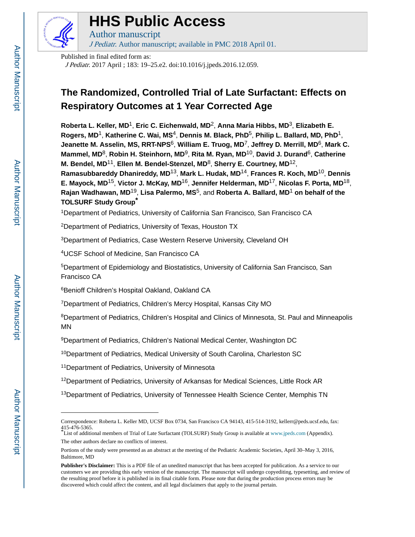

# **HHS Public Access**

Author manuscript J Pediatr. Author manuscript; available in PMC 2018 April 01.

Published in final edited form as:

J Pediatr. 2017 April ; 183: 19–25.e2. doi:10.1016/j.jpeds.2016.12.059.

### **The Randomized, Controlled Trial of Late Surfactant: Effects on Respiratory Outcomes at 1 Year Corrected Age**

**Roberta L. Keller, MD**1, **Eric C. Eichenwald, MD**2, **Anna Maria Hibbs, MD**3, **Elizabeth E. Rogers, MD**1, **Katherine C. Wai, MS**4, **Dennis M. Black, PhD**5, **Philip L. Ballard, MD, PhD**1, **Jeanette M. Asselin, MS, RRT-NPS**6, **William E. Truog, MD**7, **Jeffrey D. Merrill, MD**6, **Mark C. Mammel, MD**8, **Robin H. Steinhorn, MD**9, **Rita M. Ryan, MD**10, **David J. Durand**6, **Catherine M. Bendel, MD**11, **Ellen M. Bendel-Stenzel, MD**8, **Sherry E. Courtney, MD**12, **Ramasubbareddy Dhanireddy, MD**13, **Mark L. Hudak, MD**14, **Frances R. Koch, MD**10, **Dennis E. Mayock, MD**15, **Victor J. McKay, MD**16, **Jennifer Helderman, MD**17, **Nicolas F. Porta, MD**18, **Rajan Wadhawan, MD**19, **Lisa Palermo, MS**5, and **Roberta A. Ballard, MD**<sup>1</sup> **on behalf of the TOLSURF Study Group\***

<sup>1</sup>Department of Pediatrics, University of California San Francisco, San Francisco CA

<sup>2</sup>Department of Pediatrics, University of Texas, Houston TX

<sup>3</sup>Department of Pediatrics, Case Western Reserve University, Cleveland OH

<sup>4</sup>UCSF School of Medicine, San Francisco CA

<sup>5</sup>Department of Epidemiology and Biostatistics, University of California San Francisco, San Francisco CA

<sup>6</sup>Benioff Children's Hospital Oakland, Oakland CA

<sup>7</sup>Department of Pediatrics, Children's Mercy Hospital, Kansas City MO

<sup>8</sup>Department of Pediatrics, Children's Hospital and Clinics of Minnesota, St. Paul and Minneapolis MN

<sup>9</sup>Department of Pediatrics, Children's National Medical Center, Washington DC

<sup>10</sup>Department of Pediatrics, Medical University of South Carolina, Charleston SC

<sup>11</sup>Department of Pediatrics, University of Minnesota

<sup>12</sup>Department of Pediatrics, University of Arkansas for Medical Sciences, Little Rock AR

<sup>13</sup>Department of Pediatrics, University of Tennessee Health Science Center, Memphis TN

Correspondence: Roberta L. Keller MD, UCSF Box 0734, San Francisco CA 94143, 415-514-3192, kellerr@peds.ucsf.edu, fax:  $415-476-5365.$ 

<sup>\*</sup>List of additional members of Trial of Late Surfactant (TOLSURF) Study Group is available at www.jpeds.com (Appendix). The other authors declare no conflicts of interest.

Portions of the study were presented as an abstract at the meeting of the Pediatric Academic Societies, April 30–May 3, 2016, Baltimore, MD

**Publisher's Disclaimer:** This is a PDF file of an unedited manuscript that has been accepted for publication. As a service to our customers we are providing this early version of the manuscript. The manuscript will undergo copyediting, typesetting, and review of the resulting proof before it is published in its final citable form. Please note that during the production process errors may be discovered which could affect the content, and all legal disclaimers that apply to the journal pertain.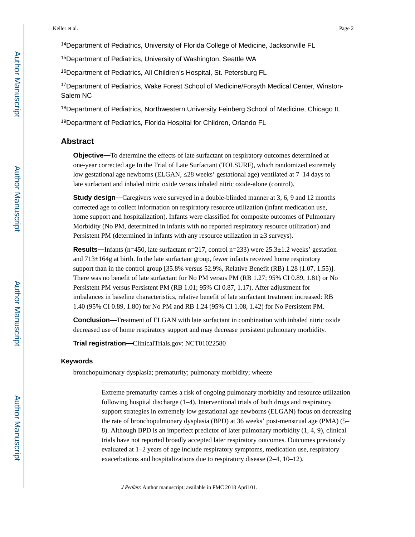<sup>14</sup>Department of Pediatrics, University of Florida College of Medicine, Jacksonville FL

<sup>15</sup>Department of Pediatrics, University of Washington, Seattle WA

<sup>16</sup>Department of Pediatrics, All Children's Hospital, St. Petersburg FL

<sup>17</sup>Department of Pediatrics, Wake Forest School of Medicine/Forsyth Medical Center, Winston-Salem NC

<sup>18</sup>Department of Pediatrics, Northwestern University Feinberg School of Medicine, Chicago IL

<sup>19</sup>Department of Pediatrics, Florida Hospital for Children, Orlando FL

#### **Abstract**

**Objective—**To determine the effects of late surfactant on respiratory outcomes determined at one-year corrected age In the Trial of Late Surfactant (TOLSURF), which randomized extremely low gestational age newborns (ELGAN, 28 weeks' gestational age) ventilated at 7–14 days to late surfactant and inhaled nitric oxide versus inhaled nitric oxide-alone (control).

**Study design—**Caregivers were surveyed in a double-blinded manner at 3, 6, 9 and 12 months corrected age to collect information on respiratory resource utilization (infant medication use, home support and hospitalization). Infants were classified for composite outcomes of Pulmonary Morbidity (No PM, determined in infants with no reported respiratory resource utilization) and Persistent PM (determined in infants with any resource utilization in  $\alpha$  surveys).

**Results—Infants (n=450, late surfactant n=217, control n=233) were 25.3±1.2 weeks' gestation** and  $713\pm164g$  at birth. In the late surfactant group, fewer infants received home respiratory support than in the control group [35.8% versus 52.9%, Relative Benefit (RB) 1.28 (1.07, 1.55)]. There was no benefit of late surfactant for No PM versus PM (RB 1.27; 95% CI 0.89, 1.81) or No Persistent PM versus Persistent PM (RB 1.01; 95% CI 0.87, 1.17). After adjustment for imbalances in baseline characteristics, relative benefit of late surfactant treatment increased: RB 1.40 (95% CI 0.89, 1.80) for No PM and RB 1.24 (95% CI 1.08, 1.42) for No Persistent PM.

**Conclusion—**Treatment of ELGAN with late surfactant in combination with inhaled nitric oxide decreased use of home respiratory support and may decrease persistent pulmonary morbidity.

**Trial registration—**ClinicalTrials.gov: NCT01022580

#### **Keywords**

bronchopulmonary dysplasia; prematurity; pulmonary morbidity; wheeze

Extreme prematurity carries a risk of ongoing pulmonary morbidity and resource utilization following hospital discharge (1–4). Interventional trials of both drugs and respiratory support strategies in extremely low gestational age newborns (ELGAN) focus on decreasing the rate of bronchopulmonary dysplasia (BPD) at 36 weeks' post-menstrual age (PMA) (5– 8). Although BPD is an imperfect predictor of later pulmonary morbidity (1, 4, 9), clinical trials have not reported broadly accepted later respiratory outcomes. Outcomes previously evaluated at 1–2 years of age include respiratory symptoms, medication use, respiratory exacerbations and hospitalizations due to respiratory disease (2–4, 10–12).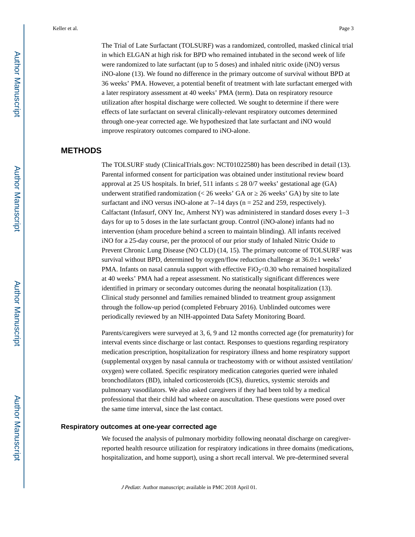The Trial of Late Surfactant (TOLSURF) was a randomized, controlled, masked clinical trial in which ELGAN at high risk for BPD who remained intubated in the second week of life were randomized to late surfactant (up to 5 doses) and inhaled nitric oxide (iNO) versus iNO-alone (13). We found no difference in the primary outcome of survival without BPD at 36 weeks' PMA. However, a potential benefit of treatment with late surfactant emerged with a later respiratory assessment at 40 weeks' PMA (term). Data on respiratory resource utilization after hospital discharge were collected. We sought to determine if there were effects of late surfactant on several clinically-relevant respiratory outcomes determined through one-year corrected age. We hypothesized that late surfactant and iNO would improve respiratory outcomes compared to iNO-alone.

#### **METHODS**

The TOLSURF study (ClinicalTrials.gov: NCT01022580) has been described in detail (13). Parental informed consent for participation was obtained under institutional review board approval at 25 US hospitals. In brief,  $511$  infants  $280/7$  weeks' gestational age (GA) underwent stratified randomization  $\ll$  26 weeks' GA or 26 weeks' GA) by site to late surfactant and iNO versus iNO-alone at  $7-14$  days ( $n = 252$  and 259, respectively). Calfactant (Infasurf, ONY Inc, Amherst NY) was administered in standard doses every 1–3 days for up to 5 doses in the late surfactant group. Control (iNO-alone) infants had no intervention (sham procedure behind a screen to maintain blinding). All infants received iNO for a 25-day course, per the protocol of our prior study of Inhaled Nitric Oxide to Prevent Chronic Lung Disease (NO CLD) (14, 15). The primary outcome of TOLSURF was survival without BPD, determined by  $oxygen/flow$  reduction challenge at  $36.0±1$  weeks' PMA. Infants on nasal cannula support with effective  $FiO<sub>2</sub><0.30$  who remained hospitalized at 40 weeks' PMA had a repeat assessment. No statistically significant differences were identified in primary or secondary outcomes during the neonatal hospitalization (13). Clinical study personnel and families remained blinded to treatment group assignment through the follow-up period (completed February 2016). Unblinded outcomes were periodically reviewed by an NIH-appointed Data Safety Monitoring Board.

Parents/caregivers were surveyed at 3, 6, 9 and 12 months corrected age (for prematurity) for interval events since discharge or last contact. Responses to questions regarding respiratory medication prescription, hospitalization for respiratory illness and home respiratory support (supplemental oxygen by nasal cannula or tracheostomy with or without assisted ventilation/ oxygen) were collated. Specific respiratory medication categories queried were inhaled bronchodilators (BD), inhaled corticosteroids (ICS), diuretics, systemic steroids and pulmonary vasodilators. We also asked caregivers if they had been told by a medical professional that their child had wheeze on auscultation. These questions were posed over the same time interval, since the last contact.

#### **Respiratory outcomes at one-year corrected age**

We focused the analysis of pulmonary morbidity following neonatal discharge on caregiverreported health resource utilization for respiratory indications in three domains (medications, hospitalization, and home support), using a short recall interval. We pre-determined several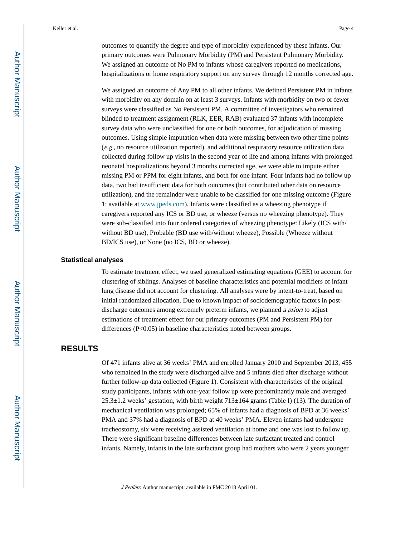outcomes to quantify the degree and type of morbidity experienced by these infants. Our primary outcomes were Pulmonary Morbidity (PM) and Persistent Pulmonary Morbidity. We assigned an outcome of No PM to infants whose caregivers reported no medications, hospitalizations or home respiratory support on any survey through 12 months corrected age.

We assigned an outcome of Any PM to all other infants. We defined Persistent PM in infants with morbidity on any domain on at least 3 surveys. Infants with morbidity on two or fewer surveys were classified as No Persistent PM. A committee of investigators who remained blinded to treatment assignment (RLK, EER, RAB) evaluated 37 infants with incomplete survey data who were unclassified for one or both outcomes, for adjudication of missing outcomes. Using simple imputation when data were missing between two other time points  $(e.g., no resource utilization reported), and additional respiratory resource utilization data$ collected during follow up visits in the second year of life and among infants with prolonged neonatal hospitalizations beyond 3 months corrected age, we were able to impute either missing PM or PPM for eight infants, and both for one infant. Four infants had no follow up data, two had insufficient data for both outcomes (but contributed other data on resource utilization), and the remainder were unable to be classified for one missing outcome (Figure 1; available at www.jpeds.com). Infants were classified as a wheezing phenotype if caregivers reported any ICS or BD use, or wheeze (versus no wheezing phenotype). They were sub-classified into four ordered categories of wheezing phenotype: Likely (ICS with/ without BD use), Probable (BD use with/without wheeze), Possible (Wheeze without BD/ICS use), or None (no ICS, BD or wheeze).

#### **Statistical analyses**

To estimate treatment effect, we used generalized estimating equations (GEE) to account for clustering of siblings. Analyses of baseline characteristics and potential modifiers of infant lung disease did not account for clustering. All analyses were by intent-to-treat, based on initial randomized allocation. Due to known impact of sociodemographic factors in postdischarge outcomes among extremely preterm infants, we planned *a priori* to adjust estimations of treatment effect for our primary outcomes (PM and Persistent PM) for differences (P<0.05) in baseline characteristics noted between groups.

#### **RESULTS**

Of 471 infants alive at 36 weeks' PMA and enrolled January 2010 and September 2013, 455 who remained in the study were discharged alive and 5 infants died after discharge without further follow-up data collected (Figure 1). Consistent with characteristics of the original study participants, infants with one-year follow up were predominantly male and averaged  $25.3\pm1.2$  weeks' gestation, with birth weight  $713\pm164$  grams (Table I) (13). The duration of mechanical ventilation was prolonged; 65% of infants had a diagnosis of BPD at 36 weeks' PMA and 37% had a diagnosis of BPD at 40 weeks' PMA. Eleven infants had undergone tracheostomy, six were receiving assisted ventilation at home and one was lost to follow up. There were significant baseline differences between late surfactant treated and control infants. Namely, infants in the late surfactant group had mothers who were 2 years younger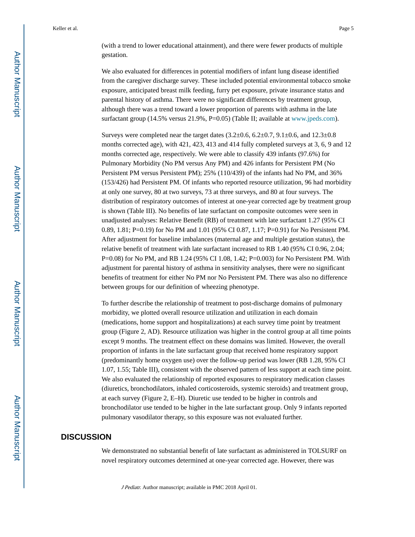(with a trend to lower educational attainment), and there were fewer products of multiple gestation.

We also evaluated for differences in potential modifiers of infant lung disease identified from the caregiver discharge survey. These included potential environmental tobacco smoke exposure, anticipated breast milk feeding, furry pet exposure, private insurance status and parental history of asthma. There were no significant differences by treatment group, although there was a trend toward a lower proportion of parents with asthma in the late surfactant group (14.5% versus 21.9%, P=0.05) (Table II; available at www.jpeds.com).

Surveys were completed near the target dates  $(3.2\pm 0.6, 6.2\pm 0.7, 9.1\pm 0.6,$  and  $12.3\pm 0.8$ months corrected age), with 421, 423, 413 and 414 fully completed surveys at 3, 6, 9 and 12 months corrected age, respectively. We were able to classify 439 infants (97.6%) for Pulmonary Morbidity (No PM versus Any PM) and 426 infants for Persistent PM (No Persistent PM versus Persistent PM); 25% (110/439) of the infants had No PM, and 36% (153/426) had Persistent PM. Of infants who reported resource utilization, 96 had morbidity at only one survey, 80 at two surveys, 73 at three surveys, and 80 at four surveys. The distribution of respiratory outcomes of interest at one-year corrected age by treatment group is shown (Table III). No benefits of late surfactant on composite outcomes were seen in unadjusted analyses: Relative Benefit (RB) of treatment with late surfactant 1.27 (95% CI 0.89, 1.81; P=0.19) for No PM and 1.01 (95% CI 0.87, 1.17; P=0.91) for No Persistent PM. After adjustment for baseline imbalances (maternal age and multiple gestation status), the relative benefit of treatment with late surfactant increased to RB 1.40 (95% CI 0.96, 2.04; P=0.08) for No PM, and RB 1.24 (95% CI 1.08, 1.42; P=0.003) for No Persistent PM. With adjustment for parental history of asthma in sensitivity analyses, there were no significant benefits of treatment for either No PM nor No Persistent PM. There was also no difference between groups for our definition of wheezing phenotype.

To further describe the relationship of treatment to post-discharge domains of pulmonary morbidity, we plotted overall resource utilization and utilization in each domain (medications, home support and hospitalizations) at each survey time point by treatment group (Figure 2, AD). Resource utilization was higher in the control group at all time points except 9 months. The treatment effect on these domains was limited. However, the overall proportion of infants in the late surfactant group that received home respiratory support (predominantly home oxygen use) over the follow-up period was lower (RB 1.28, 95% CI 1.07, 1.55; Table III), consistent with the observed pattern of less support at each time point. We also evaluated the relationship of reported exposures to respiratory medication classes (diuretics, bronchodilators, inhaled corticosteroids, systemic steroids) and treatment group, at each survey (Figure 2, E–H). Diuretic use tended to be higher in controls and bronchodilator use tended to be higher in the late surfactant group. Only 9 infants reported pulmonary vasodilator therapy, so this exposure was not evaluated further.

#### **DISCUSSION**

We demonstrated no substantial benefit of late surfactant as administered in TOLSURF on novel respiratory outcomes determined at one-year corrected age. However, there was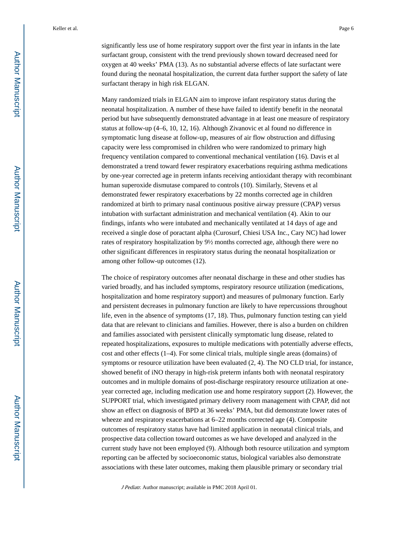significantly less use of home respiratory support over the first year in infants in the late surfactant group, consistent with the trend previously shown toward decreased need for oxygen at 40 weeks' PMA (13). As no substantial adverse effects of late surfactant were found during the neonatal hospitalization, the current data further support the safety of late surfactant therapy in high risk ELGAN.

Many randomized trials in ELGAN aim to improve infant respiratory status during the neonatal hospitalization. A number of these have failed to identify benefit in the neonatal period but have subsequently demonstrated advantage in at least one measure of respiratory status at follow-up (4–6, 10, 12, 16). Although Zivanovic et al found no difference in symptomatic lung disease at follow-up, measures of air flow obstruction and diffusing capacity were less compromised in children who were randomized to primary high frequency ventilation compared to conventional mechanical ventilation (16). Davis et al demonstrated a trend toward fewer respiratory exacerbations requiring asthma medications by one-year corrected age in preterm infants receiving antioxidant therapy with recombinant human superoxide dismutase compared to controls (10). Similarly, Stevens et al demonstrated fewer respiratory exacerbations by 22 months corrected age in children randomized at birth to primary nasal continuous positive airway pressure (CPAP) versus intubation with surfactant administration and mechanical ventilation (4). Akin to our findings, infants who were intubated and mechanically ventilated at 14 days of age and received a single dose of poractant alpha (Curosurf, Chiesi USA Inc., Cary NC) had lower rates of respiratory hospitalization by 9½ months corrected age, although there were no other significant differences in respiratory status during the neonatal hospitalization or among other follow-up outcomes (12).

The choice of respiratory outcomes after neonatal discharge in these and other studies has varied broadly, and has included symptoms, respiratory resource utilization (medications, hospitalization and home respiratory support) and measures of pulmonary function. Early and persistent decreases in pulmonary function are likely to have repercussions throughout life, even in the absence of symptoms (17, 18). Thus, pulmonary function testing can yield data that are relevant to clinicians and families. However, there is also a burden on children and families associated with persistent clinically symptomatic lung disease, related to repeated hospitalizations, exposures to multiple medications with potentially adverse effects, cost and other effects (1–4). For some clinical trials, multiple single areas (domains) of symptoms or resource utilization have been evaluated (2, 4). The NO CLD trial, for instance, showed benefit of iNO therapy in high-risk preterm infants both with neonatal respiratory outcomes and in multiple domains of post-discharge respiratory resource utilization at oneyear corrected age, including medication use and home respiratory support (2). However, the SUPPORT trial, which investigated primary delivery room management with CPAP, did not show an effect on diagnosis of BPD at 36 weeks' PMA, but did demonstrate lower rates of wheeze and respiratory exacerbations at 6–22 months corrected age (4). Composite outcomes of respiratory status have had limited application in neonatal clinical trials, and prospective data collection toward outcomes as we have developed and analyzed in the current study have not been employed (9). Although both resource utilization and symptom reporting can be affected by socioeconomic status, biological variables also demonstrate associations with these later outcomes, making them plausible primary or secondary trial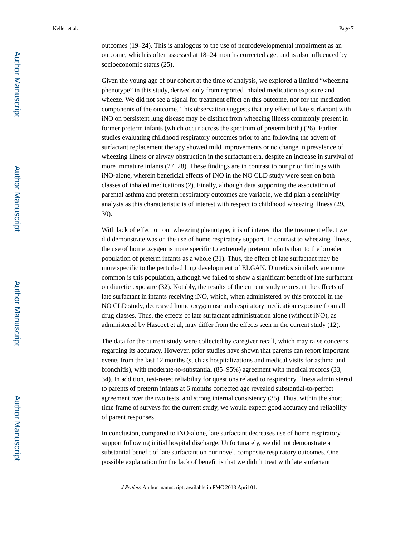outcomes (19–24). This is analogous to the use of neurodevelopmental impairment as an outcome, which is often assessed at 18–24 months corrected age, and is also influenced by socioeconomic status (25).

Given the young age of our cohort at the time of analysis, we explored a limited "wheezing phenotype" in this study, derived only from reported inhaled medication exposure and wheeze. We did not see a signal for treatment effect on this outcome, nor for the medication components of the outcome. This observation suggests that any effect of late surfactant with iNO on persistent lung disease may be distinct from wheezing illness commonly present in former preterm infants (which occur across the spectrum of preterm birth) (26). Earlier studies evaluating childhood respiratory outcomes prior to and following the advent of surfactant replacement therapy showed mild improvements or no change in prevalence of wheezing illness or airway obstruction in the surfactant era, despite an increase in survival of more immature infants (27, 28). These findings are in contrast to our prior findings with iNO-alone, wherein beneficial effects of iNO in the NO CLD study were seen on both classes of inhaled medications (2). Finally, although data supporting the association of parental asthma and preterm respiratory outcomes are variable, we did plan a sensitivity analysis as this characteristic is of interest with respect to childhood wheezing illness (29, 30).

With lack of effect on our wheezing phenotype, it is of interest that the treatment effect we did demonstrate was on the use of home respiratory support. In contrast to wheezing illness, the use of home oxygen is more specific to extremely preterm infants than to the broader population of preterm infants as a whole (31). Thus, the effect of late surfactant may be more specific to the perturbed lung development of ELGAN. Diuretics similarly are more common is this population, although we failed to show a significant benefit of late surfactant on diuretic exposure (32). Notably, the results of the current study represent the effects of late surfactant in infants receiving iNO, which, when administered by this protocol in the NO CLD study, decreased home oxygen use and respiratory medication exposure from all drug classes. Thus, the effects of late surfactant administration alone (without iNO), as administered by Hascoet et al, may differ from the effects seen in the current study (12).

The data for the current study were collected by caregiver recall, which may raise concerns regarding its accuracy. However, prior studies have shown that parents can report important events from the last 12 months (such as hospitalizations and medical visits for asthma and bronchitis), with moderate-to-substantial (85–95%) agreement with medical records (33, 34). In addition, test-retest reliability for questions related to respiratory illness administered to parents of preterm infants at 6 months corrected age revealed substantial-to-perfect agreement over the two tests, and strong internal consistency (35). Thus, within the short time frame of surveys for the current study, we would expect good accuracy and reliability of parent responses.

In conclusion, compared to iNO-alone, late surfactant decreases use of home respiratory support following initial hospital discharge. Unfortunately, we did not demonstrate a substantial benefit of late surfactant on our novel, composite respiratory outcomes. One possible explanation for the lack of benefit is that we didn't treat with late surfactant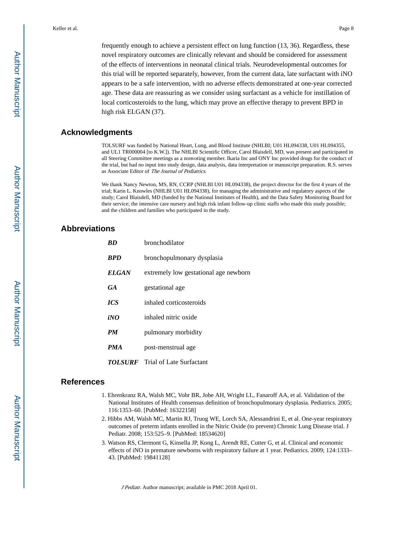frequently enough to achieve a persistent effect on lung function (13, 36). Regardless, these novel respiratory outcomes are clinically relevant and should be considered for assessment of the effects of interventions in neonatal clinical trials. Neurodevelopmental outcomes for this trial will be reported separately, however, from the current data, late surfactant with iNO appears to be a safe intervention, with no adverse effects demonstrated at one-year corrected age. These data are reassuring as we consider using surfactant as a vehicle for instillation of local corticosteroids to the lung, which may prove an effective therapy to prevent BPD in high risk ELGAN (37).

#### **Acknowledgments**

TOLSURF was funded by National Heart, Lung, and Blood Institute (NHLBI; U01 HL094338, U01 HL094355, and UL1 TR000004 [to K.W.]). The NHLBI Scientific Officer, Carol Blaisdell, MD, was present and participated in all Steering Committee meetings as a nonvoting member. Ikaria Inc and ONY Inc provided drugs for the conduct of the trial, but had no input into study design, data analysis, data interpretation or manuscript preparation. R.S. serves as Associate Editor of The Journal of Pediatrics.

We thank Nancy Newton, MS, RN, CCRP (NHLBI U01 HL094338), the project director for the first 4 years of the trial; Karin L. Knowles (NHLBI U01 HL094338), for managing the administrative and regulatory aspects of the study; Carol Blaisdell, MD (funded by the National Institutes of Health), and the Data Safety Monitoring Board for their service; the intensive care nursery and high risk infant follow-up clinic staffs who made this study possible; and the children and families who participated in the study.

#### **Abbreviations**

| <b>RD</b>    | bronchodilator                          |
|--------------|-----------------------------------------|
| <b>RPD</b>   | bronchopulmonary dysplasia              |
| <b>ELGAN</b> | extremely low gestational age newborn   |
| GA           | gestational age                         |
| <b>ICS</b>   | inhaled corticosteroids                 |
| iNO          | inhaled nitric oxide                    |
| <b>PM</b>    | pulmonary morbidity                     |
| <b>PMA</b>   | post-menstrual age                      |
|              | <b>TOLSURF</b> Trial of Late Surfactant |

#### **References**

- 1. Ehrenkranz RA, Walsh MC, Vohr BR, Jobe AH, Wright LL, Fanaroff AA, et al. Validation of the National Institutes of Health consensus definition of bronchopulmonary dysplasia. Pediatrics. 2005; 116:1353–60. [PubMed: 16322158]
- 2. Hibbs AM, Walsh MC, Martin RJ, Truog WE, Lorch SA, Alessandrini E, et al. One-year respiratory outcomes of preterm infants enrolled in the Nitric Oxide (to prevent) Chronic Lung Disease trial. J Pediatr. 2008; 153:525–9. [PubMed: 18534620]
- 3. Watson RS, Clermont G, Kinsella JP, Kong L, Arendt RE, Cutter G, et al. Clinical and economic effects of iNO in premature newborns with respiratory failure at 1 year. Pediatrics. 2009; 124:1333– 43. [PubMed: 19841128]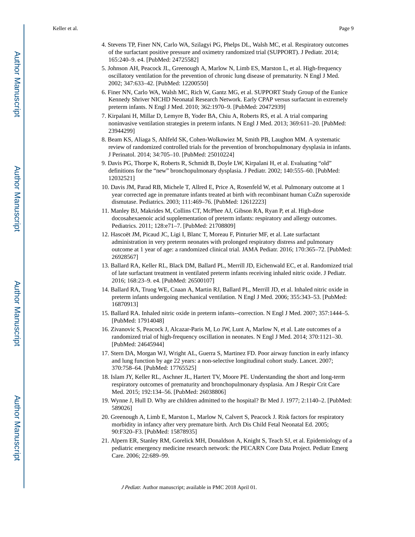- 4. Stevens TP, Finer NN, Carlo WA, Szilagyi PG, Phelps DL, Walsh MC, et al. Respiratory outcomes of the surfactant positive pressure and oximetry randomized trial (SUPPORT). J Pediatr. 2014; 165:240–9. e4. [PubMed: 24725582]
- 5. Johnson AH, Peacock JL, Greenough A, Marlow N, Limb ES, Marston L, et al. High-frequency oscillatory ventilation for the prevention of chronic lung disease of prematurity. N Engl J Med. 2002; 347:633–42. [PubMed: 12200550]
- 6. Finer NN, Carlo WA, Walsh MC, Rich W, Gantz MG, et al. SUPPORT Study Group of the Eunice Kennedy Shriver NICHD Neonatal Research Network. Early CPAP versus surfactant in extremely preterm infants. N Engl J Med. 2010; 362:1970–9. [PubMed: 20472939]
- 7. Kirpalani H, Millar D, Lemyre B, Yoder BA, Chiu A, Roberts RS, et al. A trial comparing noninvasive ventilation strategies in preterm infants. N Engl J Med. 2013; 369:611–20. [PubMed: 23944299]
- 8. Beam KS, Aliaga S, Ahlfeld SK, Cohen-Wolkowiez M, Smith PB, Laughon MM. A systematic review of randomized controlled trials for the prevention of bronchopulmonary dysplasia in infants. J Perinatol. 2014; 34:705–10. [PubMed: 25010224]
- 9. Davis PG, Thorpe K, Roberts R, Schmidt B, Doyle LW, Kirpalani H, et al. Evaluating "old" definitions for the "new" bronchopulmonary dysplasia. J Pediatr. 2002; 140:555–60. [PubMed: 12032521]
- 10. Davis JM, Parad RB, Michele T, Allred E, Price A, Rosenfeld W, et al. Pulmonary outcome at 1 year corrected age in premature infants treated at birth with recombinant human CuZn superoxide dismutase. Pediatrics. 2003; 111:469–76. [PubMed: 12612223]
- 11. Manley BJ, Makrides M, Collins CT, McPhee AJ, Gibson RA, Ryan P, et al. High-dose docosahexaenoic acid supplementation of preterm infants: respiratory and allergy outcomes. Pediatrics. 2011; 128:e71–7. [PubMed: 21708809]
- 12. Hascoët JM, Picaud JC, Ligi I, Blanc T, Moreau F, Pinturier MF, et al. Late surfactant administration in very preterm neonates with prolonged respiratory distress and pulmonary outcome at 1 year of age: a randomized clinical trial. JAMA Pediatr. 2016; 170:365–72. [PubMed: 26928567]
- 13. Ballard RA, Keller RL, Black DM, Ballard PL, Merrill JD, Eichenwald EC, et al. Randomized trial of late surfactant treatment in ventilated preterm infants receiving inhaled nitric oxide. J Pediatr. 2016; 168:23–9. e4. [PubMed: 26500107]
- 14. Ballard RA, Truog WE, Cnaan A, Martin RJ, Ballard PL, Merrill JD, et al. Inhaled nitric oxide in preterm infants undergoing mechanical ventilation. N Engl J Med. 2006; 355:343–53. [PubMed: 16870913]
- 15. Ballard RA. Inhaled nitric oxide in preterm infants--correction. N Engl J Med. 2007; 357:1444–5. [PubMed: 17914048]
- 16. Zivanovic S, Peacock J, Alcazar-Paris M, Lo JW, Lunt A, Marlow N, et al. Late outcomes of a randomized trial of high-frequency oscillation in neonates. N Engl J Med. 2014; 370:1121–30. [PubMed: 24645944]
- 17. Stern DA, Morgan WJ, Wright AL, Guerra S, Martinez FD. Poor airway function in early infancy and lung function by age 22 years: a non-selective longitudinal cohort study. Lancet. 2007; 370:758–64. [PubMed: 17765525]
- 18. Islam JY, Keller RL, Aschner JL, Hartert TV, Moore PE. Understanding the short and long-term respiratory outcomes of prematurity and bronchopulmonary dysplasia. Am J Respir Crit Care Med. 2015; 192:134–56. [PubMed: 26038806]
- 19. Wynne J, Hull D. Why are children admitted to the hospital? Br Med J. 1977; 2:1140–2. [PubMed: 589026]
- 20. Greenough A, Limb E, Marston L, Marlow N, Calvert S, Peacock J. Risk factors for respiratory morbidity in infancy after very premature birth. Arch Dis Child Fetal Neonatal Ed. 2005; 90:F320–F3. [PubMed: 15878935]
- 21. Alpern ER, Stanley RM, Gorelick MH, Donaldson A, Knight S, Teach SJ, et al. Epidemiology of a pediatric emergency medicine research network: the PECARN Core Data Project. Pediatr Emerg Care. 2006; 22:689–99.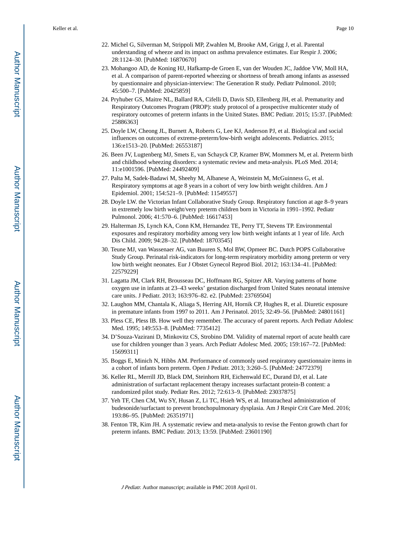- 22. Michel G, Silverman M, Strippoli MP, Zwahlen M, Brooke AM, Grigg J, et al. Parental understanding of wheeze and its impact on asthma prevalence estimates. Eur Respir J. 2006; 28:1124–30. [PubMed: 16870670]
- 23. Mohangoo AD, de Koning HJ, Hafkamp-de Groen E, van der Wouden JC, Jaddoe VW, Moll HA, et al. A comparison of parent-reported wheezing or shortness of breath among infants as assessed by questionnaire and physician-interview: The Generation R study. Pediatr Pulmonol. 2010; 45:500–7. [PubMed: 20425859]
- 24. Pryhuber GS, Maitre NL, Ballard RA, Cifelli D, Davis SD, Ellenberg JH, et al. Prematurity and Respiratory Outcomes Program (PROP): study protocol of a prospective multicenter study of respiratory outcomes of preterm infants in the United States. BMC Pediatr. 2015; 15:37. [PubMed: 25886363]
- 25. Doyle LW, Cheong JL, Burnett A, Roberts G, Lee KJ, Anderson PJ, et al. Biological and social influences on outcomes of extreme-preterm/low-birth weight adolescents. Pediatrics. 2015; 136:e1513–20. [PubMed: 26553187]
- 26. Been JV, Lugtenberg MJ, Smets E, van Schayck CP, Kramer BW, Mommers M, et al. Preterm birth and childhood wheezing disorders: a systematic review and meta-analysis. PLoS Med. 2014; 11:e1001596. [PubMed: 24492409]
- 27. Palta M, Sadek-Badawi M, Sheehy M, Albanese A, Weinstein M, McGuinness G, et al. Respiratory symptoms at age 8 years in a cohort of very low birth weight children. Am J Epidemiol. 2001; 154:521–9. [PubMed: 11549557]
- 28. Doyle LW. the Victorian Infant Collaborative Study Group. Respiratory function at age 8–9 years in extremely low birth weight/very preterm children born in Victoria in 1991–1992. Pediatr Pulmonol. 2006; 41:570–6. [PubMed: 16617453]
- 29. Halterman JS, Lynch KA, Conn KM, Hernandez TE, Perry TT, Stevens TP. Environmental exposures and respiratory morbidity among very low birth weight infants at 1 year of life. Arch Dis Child. 2009; 94:28–32. [PubMed: 18703545]
- 30. Teune MJ, van Wassenaer AG, van Buuren S, Mol BW, Opmeer BC. Dutch POPS Collaborative Study Group. Perinatal risk-indicators for long-term respiratory morbidity among preterm or very low birth weight neonates. Eur J Obstet Gynecol Reprod Biol. 2012; 163:134–41. [PubMed: 22579229]
- 31. Lagatta JM, Clark RH, Brousseau DC, Hoffmann RG, Spitzer AR. Varying patterns of home oxygen use in infants at 23–43 weeks' gestation discharged from United States neonatal intensive care units. J Pediatr. 2013; 163:976–82. e2. [PubMed: 23769504]
- 32. Laughon MM, Chantala K, Aliaga S, Herring AH, Hornik CP, Hughes R, et al. Diuretic exposure in premature infants from 1997 to 2011. Am J Perinatol. 2015; 32:49–56. [PubMed: 24801161]
- 33. Pless CE, Pless IB. How well they remember. The accuracy of parent reports. Arch Pediatr Adolesc Med. 1995; 149:553–8. [PubMed: 7735412]
- 34. D'Souza-Vazirani D, Minkovitz CS, Strobino DM. Validity of maternal report of acute health care use for children younger than 3 years. Arch Pediatr Adolesc Med. 2005; 159:167–72. [PubMed: 15699311]
- 35. Boggs E, Minich N, Hibbs AM. Performance of commonly used respiratory questionnaire items in a cohort of infants born preterm. Open J Pediatr. 2013; 3:260–5. [PubMed: 24772379]
- 36. Keller RL, Merrill JD, Black DM, Steinhorn RH, Eichenwald EC, Durand DJ, et al. Late administration of surfactant replacement therapy increases surfactant protein-B content: a randomized pilot study. Pediatr Res. 2012; 72:613–9. [PubMed: 23037875]
- 37. Yeh TF, Chen CM, Wu SY, Husan Z, Li TC, Hsieh WS, et al. Intratracheal administration of budesonide/surfactant to prevent bronchopulmonary dysplasia. Am J Respir Crit Care Med. 2016; 193:86–95. [PubMed: 26351971]
- 38. Fenton TR, Kim JH. A systematic review and meta-analysis to revise the Fenton growth chart for preterm infants. BMC Pediatr. 2013; 13:59. [PubMed: 23601190]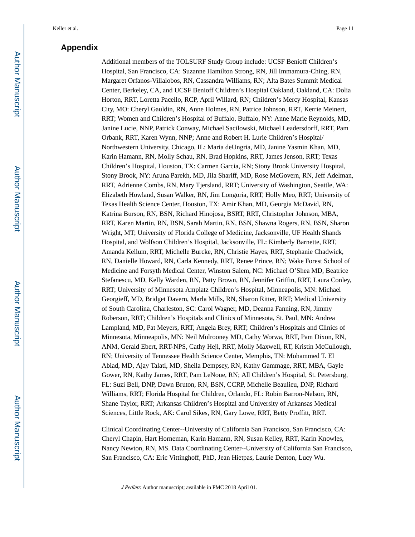#### **Appendix**

 Author ManuscriptAuthor Manuscript

Author Manuscript

**Author Manuscript** 

Additional members of the TOLSURF Study Group include: UCSF Benioff Children's Hospital, San Francisco, CA: Suzanne Hamilton Strong, RN, Jill Immamura-Ching, RN, Margaret Orfanos-Villalobos, RN, Cassandra Williams, RN; Alta Bates Summit Medical Center, Berkeley, CA, and UCSF Benioff Children's Hospital Oakland, Oakland, CA: Dolia Horton, RRT, Loretta Pacello, RCP, April Willard, RN; Children's Mercy Hospital, Kansas City, MO: Cheryl Gauldin, RN, Anne Holmes, RN, Patrice Johnson, RRT, Kerrie Meinert, RRT; Women and Children's Hospital of Buffalo, Buffalo, NY: Anne Marie Reynolds, MD, Janine Lucie, NNP, Patrick Conway, Michael Sacilowski, Michael Leadersdorff, RRT, Pam Orbank, RRT, Karen Wynn, NNP; Anne and Robert H. Lurie Children's Hospital/ Northwestern University, Chicago, IL: Maria deUngria, MD, Janine Yasmin Khan, MD, Karin Hamann, RN, Molly Schau, RN, Brad Hopkins, RRT, James Jenson, RRT; Texas Children's Hospital, Houston, TX: Carmen Garcia, RN; Stony Brook University Hospital, Stony Brook, NY: Aruna Parekh, MD, Jila Shariff, MD, Rose McGovern, RN, Jeff Adelman, RRT, Adrienne Combs, RN, Mary Tjersland, RRT; University of Washington, Seattle, WA: Elizabeth Howland, Susan Walker, RN, Jim Longoria, RRT, Holly Meo, RRT; University of Texas Health Science Center, Houston, TX: Amir Khan, MD, Georgia McDavid, RN, Katrina Burson, RN, BSN, Richard Hinojosa, BSRT, RRT, Christopher Johnson, MBA, RRT, Karen Martin, RN, BSN, Sarah Martin, RN, BSN, Shawna Rogers, RN, BSN, Sharon Wright, MT; University of Florida College of Medicine, Jacksonville, UF Health Shands Hospital, and Wolfson Children's Hospital, Jacksonville, FL: Kimberly Barnette, RRT, Amanda Kellum, RRT, Michelle Burcke, RN, Christie Hayes, RRT, Stephanie Chadwick, RN, Danielle Howard, RN, Carla Kennedy, RRT, Renee Prince, RN; Wake Forest School of Medicine and Forsyth Medical Center, Winston Salem, NC: Michael O'Shea MD, Beatrice Stefanescu, MD, Kelly Warden, RN, Patty Brown, RN, Jennifer Griffin, RRT, Laura Conley, RRT; University of Minnesota Amplatz Children's Hospital, Minneapolis, MN: Michael Georgieff, MD, Bridget Davern, Marla Mills, RN, Sharon Ritter, RRT; Medical University of South Carolina, Charleston, SC: Carol Wagner, MD, Deanna Fanning, RN, Jimmy Roberson, RRT; Children's Hospitals and Clinics of Minnesota, St. Paul, MN: Andrea Lampland, MD, Pat Meyers, RRT, Angela Brey, RRT; Children's Hospitals and Clinics of Minnesota, Minneapolis, MN: Neil Mulrooney MD, Cathy Worwa, RRT, Pam Dixon, RN, ANM, Gerald Ebert, RRT-NPS, Cathy Hejl, RRT, Molly Maxwell, RT, Kristin McCullough, RN; University of Tennessee Health Science Center, Memphis, TN: Mohammed T. El Abiad, MD, Ajay Talati, MD, Sheila Dempsey, RN, Kathy Gammage, RRT, MBA, Gayle Gower, RN, Kathy James, RRT, Pam LeNoue, RN; All Children's Hospital, St. Petersburg, FL: Suzi Bell, DNP, Dawn Bruton, RN, BSN, CCRP, Michelle Beaulieu, DNP, Richard Williams, RRT; Florida Hospital for Children, Orlando, FL: Robin Barron-Nelson, RN, Shane Taylor, RRT; Arkansas Children's Hospital and University of Arkansas Medical Sciences, Little Rock, AK: Carol Sikes, RN, Gary Lowe, RRT, Betty Proffitt, RRT.

Clinical Coordinating Center--University of California San Francisco, San Francisco, CA: Cheryl Chapin, Hart Horneman, Karin Hamann, RN, Susan Kelley, RRT, Karin Knowles, Nancy Newton, RN, MS. Data Coordinating Center--University of California San Francisco, San Francisco, CA: Eric Vittinghoff, PhD, Jean Hietpas, Laurie Denton, Lucy Wu.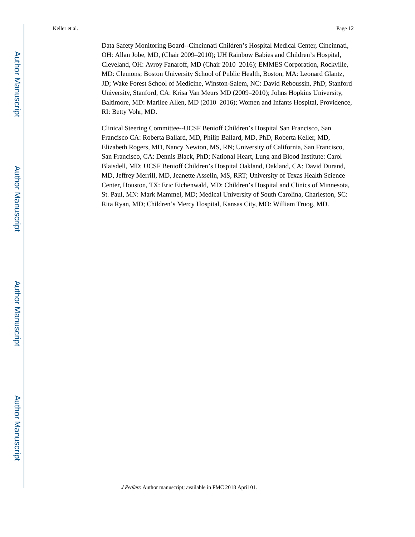Data Safety Monitoring Board--Cincinnati Children's Hospital Medical Center, Cincinnati, OH: Allan Jobe, MD, (Chair 2009–2010); UH Rainbow Babies and Children's Hospital, Cleveland, OH: Avroy Fanaroff, MD (Chair 2010–2016); EMMES Corporation, Rockville, MD: Clemons; Boston University School of Public Health, Boston, MA: Leonard Glantz, JD; Wake Forest School of Medicine, Winston-Salem, NC: David Reboussin, PhD; Stanford University, Stanford, CA: Krisa Van Meurs MD (2009–2010); Johns Hopkins University, Baltimore, MD: Marilee Allen, MD (2010–2016); Women and Infants Hospital, Providence, RI: Betty Vohr, MD.

Clinical Steering Committee--UCSF Benioff Children's Hospital San Francisco, San Francisco CA: Roberta Ballard, MD, Philip Ballard, MD, PhD, Roberta Keller, MD, Elizabeth Rogers, MD, Nancy Newton, MS, RN; University of California, San Francisco, San Francisco, CA: Dennis Black, PhD; National Heart, Lung and Blood Institute: Carol Blaisdell, MD; UCSF Benioff Children's Hospital Oakland, Oakland, CA: David Durand, MD, Jeffrey Merrill, MD, Jeanette Asselin, MS, RRT; University of Texas Health Science Center, Houston, TX: Eric Eichenwald, MD; Children's Hospital and Clinics of Minnesota, St. Paul, MN: Mark Mammel, MD; Medical University of South Carolina, Charleston, SC: Rita Ryan, MD; Children's Mercy Hospital, Kansas City, MO: William Truog, MD.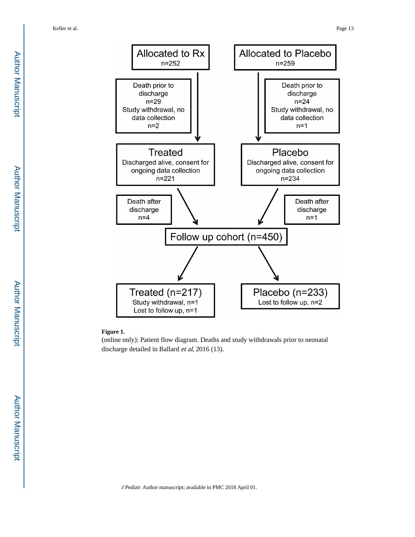

#### **Figure 1.**

(online only): Patient flow diagram. Deaths and study withdrawals prior to neonatal discharge detailed in Ballard et al, 2016 (13).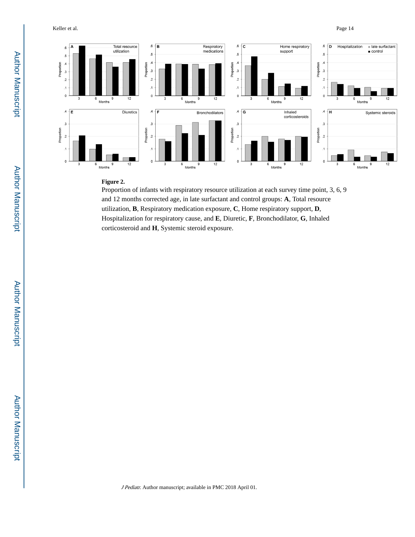Keller et al. Page 14



#### **Figure 2.**

Proportion of infants with respiratory resource utilization at each survey time point, 3, 6, 9 and 12 months corrected age, in late surfactant and control groups: **A**, Total resource utilization, **B**, Respiratory medication exposure, **C**, Home respiratory support, **D**, Hospitalization for respiratory cause, and **E**, Diuretic, **F**, Bronchodilator, **G**, Inhaled corticosteroid and **H**, Systemic steroid exposure.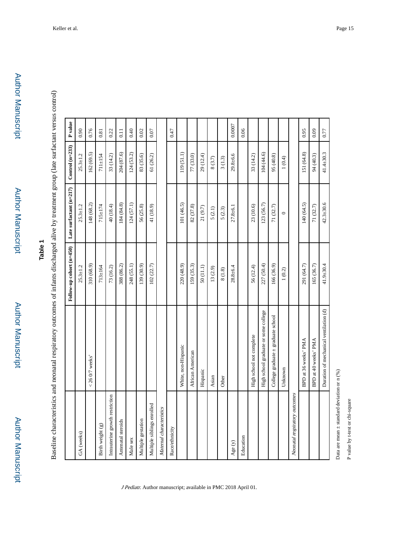Author Manuscript

Author Manuscript

# **Table 1**

Baseline characteristics and neonatal respiratory outcomes of infants discharged alive by treatment group (late surfactant versus control) Baseline characteristics and neonatal respiratory outcomes of infants discharged alive by treatment group (late surfactant versus control)

|                                 |                                        | Follow-up cohort (n=450) | Late surfactant (n=217) | Control $(n=233)$ | P value |
|---------------------------------|----------------------------------------|--------------------------|-------------------------|-------------------|---------|
| GA (weeks)                      |                                        | $25.3 \pm 1.2$           | $25.3 \pm 1.2$          | $25.3 \pm 1.2$    | 0.90    |
|                                 | $< 2607$ weeks'                        | 310 (68.9)               | 148 (68.2)              | 162 (69.5)        | 0.76    |
| Birth weight (g)                |                                        | $713 \pm 164$            | $715 \pm 174$           | 711±154           | 0.81    |
| Intrauterine growth restriction |                                        | 73 (16.2)                | 40 (18.4)               | 33 (14.2)         | 0.22    |
| Antenatal steroids              |                                        | 388 (86.2)               | 184(84.8)               | 204 (87.6)        | 0.11    |
| Male sex                        |                                        | 248 (55.1)               | 124(57.1)               | 124(53.2)         | 0.40    |
| Multiple gestation              |                                        | 139 (30.9)               | 56 (25.8)               | 83 (35.6)         | 0.02    |
| Multiple siblings enrolled      |                                        | 102(22.7)                | 41 (18.9)               | 61 (26.2)         | 0.07    |
| Maternal characteristics        |                                        |                          |                         |                   |         |
| Race/ethnicity                  |                                        |                          |                         |                   | 0.47    |
|                                 | White, non-Hispanic                    | 220 (48.9)               | 101 (46.5)              | 119 (51.1)        |         |
|                                 | African American                       | 59 (35.3)                | 82 (37.8)               | 77 (33.0)         |         |
|                                 | Hispanic                               | 50(11.1)                 | 21(9.7)                 | 29 (12.4)         |         |
|                                 | Asian                                  | 13(2.9)                  | 5(2.1)                  | $8(3.7)$          |         |
|                                 | Other                                  | 8(1.8)                   | 5(2.3)                  | 3(1.3)            |         |
| Age (y)                         |                                        | $28.8 + 6.4$             | $27.8 + 6.1$            | $29.8 + 6.6$      | 0.0007  |
| Education                       |                                        |                          |                         |                   | 0.06    |
|                                 | High school not complete               | 56 (12.4)                | 23 (10.6)               | 33 (14.2)         |         |
|                                 | High school graduate or some college   | 227 (50.4)               | 123 (56.7)              | 104 (44.6)        |         |
|                                 | College graduate $\pm$ graduate school | 166 (36.9)               | 71 (32.7)               | 95 (40.8)         |         |
|                                 | Unknown                                | $1\left(0.2\right)$      | $\circ$                 | 1(0.4)            |         |
| Neonatal respiratory outcomes   |                                        |                          |                         |                   |         |
|                                 | BPD at 36 weeks' PMA                   | 291 (64.7)               | 140(64.5)               | 151 (64.8)        | 0.95    |
|                                 | BPD at 40 weeks' PMA                   | 165 (36.7)               | 71(32.7)                | 94 (40.3)         | 0.09    |
|                                 | Duration of mechanical ventilation (d) | $41.9 \pm 30.4$          | $42.3 \pm 30.6$         | $41.4 + 30.3$     | 0.77    |

J Pediatr. Author manuscript; available in PMC 2018 April 01.

P value by t-test or chi-square P value by t-test or chi-square

Data are mean  $\pm$  standard deviation or n (%)

Data are mean  $\pm$  standard deviation or n  $(\%)$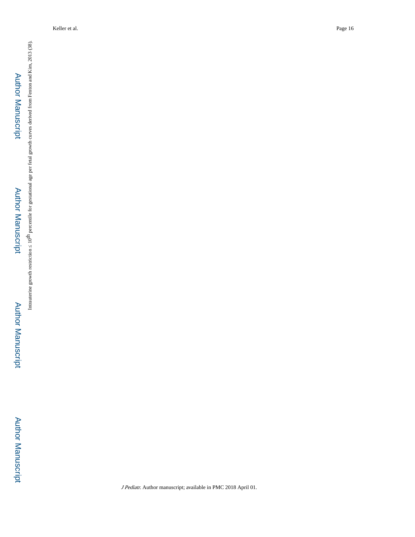Intrauterine growth restriction 10<sup>th</sup> percentile for gestational age per fetal growth curves derived from Fenton and Kim, 2013 (38). Intrauterine growth restriction ≤ 10th percentile for gestational age per fetal growth curves derived from Fenton and Kim, 2013 (38). **Author Manuscript** Author Manuscript Author Manuscript**Author Manuscript**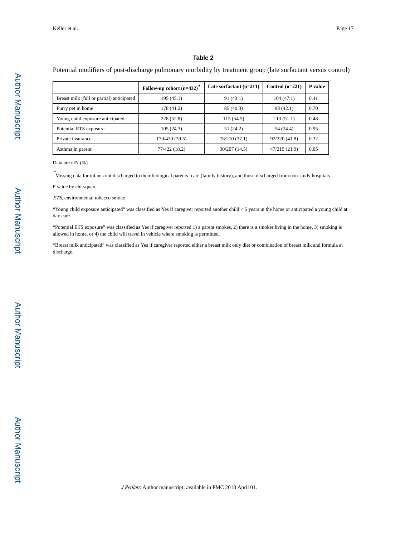#### **Table 2**

Potential modifiers of post-discharge pulmonary morbidity by treatment group (late surfactant versus control)

|                                           | Follow-up cohort $(n=432)^*$ | Late surfactant $(n=211)$ | Control $(n=221)$ | P value |
|-------------------------------------------|------------------------------|---------------------------|-------------------|---------|
| Breast milk (full or partial) anticipated | 195(45.1)                    | 91(43.1)                  | 104(47.1)         | 0.41    |
| Furry pet in home                         | 178 (41.2)                   | 85 (40.3)                 | 93(42.1)          | 0.70    |
| Young child exposure anticipated          | 228 (52.8)                   | 115(54.5)                 | 113(51.1)         | 0.48    |
| Potential ETS exposure                    | 105(24.3)                    | 51 (24.2)                 | 54 (24.4)         | 0.95    |
| Private insurance                         | 170/430 (39.5)               | 78/210 (37.1)             | 92/220(41.8)      | 0.32    |
| Asthma in parent                          | 77/422 (18.2)                | 30/207 (14.5)             | 47/215 (21.9)     | 0.05    |

Data are n/N (%)

\* Missing data for infants not discharged to their biological parents' care (family history), and those discharged from non-study hospitals

P value by chi-square

ETS, environmental tobacco smoke

"Young child exposure anticipated" was classified as Yes if caregiver reported another child < 5 years in the home or anticipated a young child at day care.

"Potential ETS exposure" was classified as Yes if caregiver reported 1) a parent smokes, 2) there is a smoker living in the home, 3) smoking is allowed in home, or 4) the child will travel in vehicle where smoking is permitted.

"Breast milk anticipated" was classified as Yes if caregiver reported either a breast milk only diet or combination of breast milk and formula at discharge.